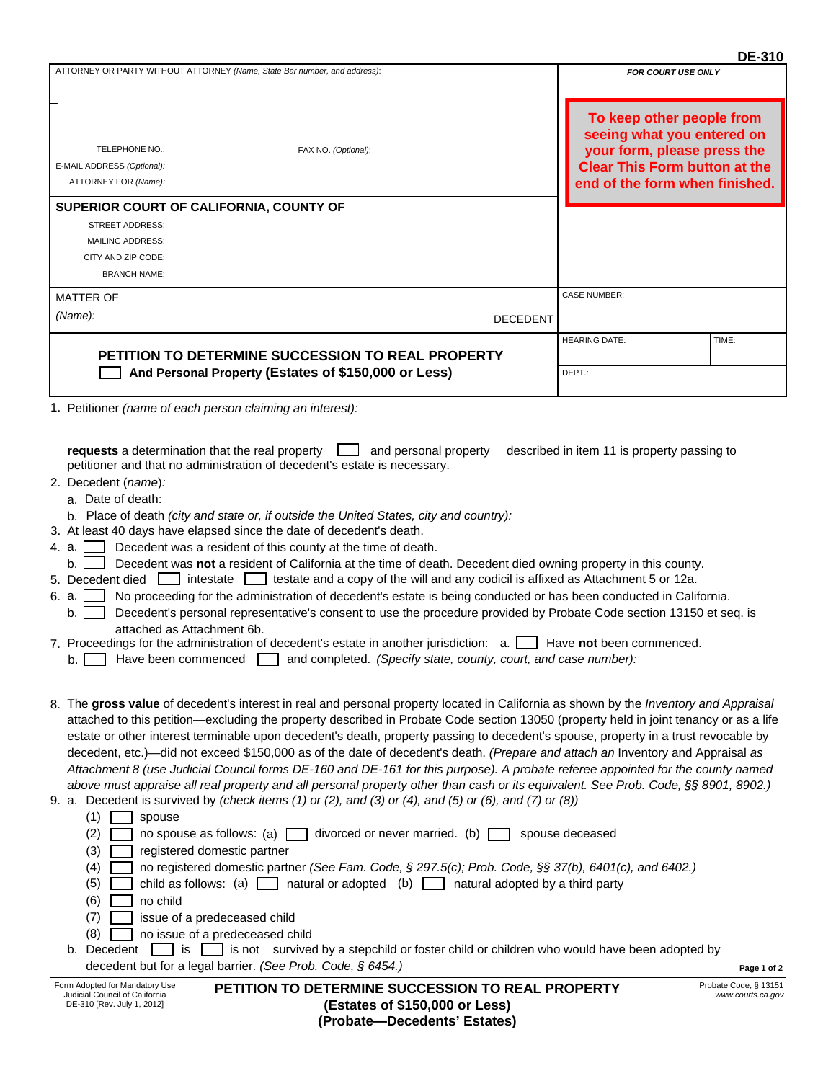|                                                                                                                                                                                                                                                                                                                                                                                                                                                                                                                                                                                                                                                                                                                                                                                                                                                                                                                                                                                                                                                                                                                                                                                                                                                                                                                                                                                                                                                                                                                                                             |                                                                                                                                                                  | <b>DE-310</b>                              |
|-------------------------------------------------------------------------------------------------------------------------------------------------------------------------------------------------------------------------------------------------------------------------------------------------------------------------------------------------------------------------------------------------------------------------------------------------------------------------------------------------------------------------------------------------------------------------------------------------------------------------------------------------------------------------------------------------------------------------------------------------------------------------------------------------------------------------------------------------------------------------------------------------------------------------------------------------------------------------------------------------------------------------------------------------------------------------------------------------------------------------------------------------------------------------------------------------------------------------------------------------------------------------------------------------------------------------------------------------------------------------------------------------------------------------------------------------------------------------------------------------------------------------------------------------------------|------------------------------------------------------------------------------------------------------------------------------------------------------------------|--------------------------------------------|
| ATTORNEY OR PARTY WITHOUT ATTORNEY (Name, State Bar number, and address):                                                                                                                                                                                                                                                                                                                                                                                                                                                                                                                                                                                                                                                                                                                                                                                                                                                                                                                                                                                                                                                                                                                                                                                                                                                                                                                                                                                                                                                                                   | FOR COURT USE ONLY                                                                                                                                               |                                            |
| TELEPHONE NO.:<br>FAX NO. (Optional):<br>E-MAIL ADDRESS (Optional):<br>ATTORNEY FOR (Name):<br>SUPERIOR COURT OF CALIFORNIA, COUNTY OF<br><b>STREET ADDRESS:</b>                                                                                                                                                                                                                                                                                                                                                                                                                                                                                                                                                                                                                                                                                                                                                                                                                                                                                                                                                                                                                                                                                                                                                                                                                                                                                                                                                                                            | To keep other people from<br>seeing what you entered on<br>your form, please press the<br><b>Clear This Form button at the</b><br>end of the form when finished. |                                            |
| <b>MAILING ADDRESS:</b><br>CITY AND ZIP CODE:<br><b>BRANCH NAME:</b>                                                                                                                                                                                                                                                                                                                                                                                                                                                                                                                                                                                                                                                                                                                                                                                                                                                                                                                                                                                                                                                                                                                                                                                                                                                                                                                                                                                                                                                                                        |                                                                                                                                                                  |                                            |
| <b>MATTER OF</b>                                                                                                                                                                                                                                                                                                                                                                                                                                                                                                                                                                                                                                                                                                                                                                                                                                                                                                                                                                                                                                                                                                                                                                                                                                                                                                                                                                                                                                                                                                                                            | <b>CASE NUMBER:</b>                                                                                                                                              |                                            |
| $(Name)$ :<br><b>DECEDENT</b>                                                                                                                                                                                                                                                                                                                                                                                                                                                                                                                                                                                                                                                                                                                                                                                                                                                                                                                                                                                                                                                                                                                                                                                                                                                                                                                                                                                                                                                                                                                               |                                                                                                                                                                  |                                            |
| PETITION TO DETERMINE SUCCESSION TO REAL PROPERTY<br>And Personal Property (Estates of \$150,000 or Less)                                                                                                                                                                                                                                                                                                                                                                                                                                                                                                                                                                                                                                                                                                                                                                                                                                                                                                                                                                                                                                                                                                                                                                                                                                                                                                                                                                                                                                                   | <b>HEARING DATE:</b><br>DEPT.:                                                                                                                                   | TIME:                                      |
|                                                                                                                                                                                                                                                                                                                                                                                                                                                                                                                                                                                                                                                                                                                                                                                                                                                                                                                                                                                                                                                                                                                                                                                                                                                                                                                                                                                                                                                                                                                                                             |                                                                                                                                                                  |                                            |
| requests a determination that the real property<br>and personal property<br>petitioner and that no administration of decedent's estate is necessary.<br>2. Decedent (name):<br>a. Date of death:<br>b. Place of death (city and state or, if outside the United States, city and country):<br>3. At least 40 days have elapsed since the date of decedent's death.<br>Decedent was a resident of this county at the time of death.<br>4. a.<br>Decedent was not a resident of California at the time of death. Decedent died owning property in this county.<br>b.<br>5. Decedent died intestate state and a copy of the will and any codicil is affixed as Attachment 5 or 12a.<br>No proceeding for the administration of decedent's estate is being conducted or has been conducted in California.<br>6. a.<br>Decedent's personal representative's consent to use the procedure provided by Probate Code section 13150 et seq. is<br>b.<br>attached as Attachment 6b.<br>7. Proceedings for the administration of decedent's estate in another jurisdiction: a. Have not been commenced.<br>b. $\Box$ Have been commenced $\Box$ and completed. (Specify state, county, court, and case number):                                                                                                                                                                                                                                                                                                                                                        | described in item 11 is property passing to                                                                                                                      |                                            |
| 8. The gross value of decedent's interest in real and personal property located in California as shown by the Inventory and Appraisal<br>attached to this petition—excluding the property described in Probate Code section 13050 (property held in joint tenancy or as a life<br>estate or other interest terminable upon decedent's death, property passing to decedent's spouse, property in a trust revocable by<br>decedent, etc.)—did not exceed \$150,000 as of the date of decedent's death. (Prepare and attach an Inventory and Appraisal as<br>Attachment 8 (use Judicial Council forms DE-160 and DE-161 for this purpose). A probate referee appointed for the county named<br>above must appraise all real property and all personal property other than cash or its equivalent. See Prob. Code, §§ 8901, 8902.)<br>9. a. Decedent is survived by (check items $(1)$ or $(2)$ , and $(3)$ or $(4)$ , and $(5)$ or $(6)$ , and $(7)$ or $(8)$ )<br>(1)<br>spouse<br>$\Box$ divorced or never married. (b) $\Box$<br>(2)<br>no spouse as follows: (a) [<br>registered domestic partner<br>(3)<br>no registered domestic partner (See Fam. Code, § 297.5(c); Prob. Code, §§ 37(b), 6401(c), and 6402.)<br>(4)<br>child as follows: (a) $\Box$ natural or adopted (b) $\Box$ natural adopted by a third party<br>(5)<br>no child<br>(6)<br>(7)<br>issue of a predeceased child<br>(8)<br>no issue of a predeceased child<br>b. Decedent<br>$\Box$ is not survived by a stepchild or foster child or children who would have been adopted by<br>is | spouse deceased                                                                                                                                                  |                                            |
| decedent but for a legal barrier. (See Prob. Code, § 6454.)                                                                                                                                                                                                                                                                                                                                                                                                                                                                                                                                                                                                                                                                                                                                                                                                                                                                                                                                                                                                                                                                                                                                                                                                                                                                                                                                                                                                                                                                                                 |                                                                                                                                                                  | Page 1 of 2                                |
| Form Adopted for Mandatory Use<br>PETITION TO DETERMINE SUCCESSION TO REAL PROPERTY<br>Judicial Council of California<br>(Estates of \$150,000 or Less)<br>DE-310 [Rev. July 1, 2012]                                                                                                                                                                                                                                                                                                                                                                                                                                                                                                                                                                                                                                                                                                                                                                                                                                                                                                                                                                                                                                                                                                                                                                                                                                                                                                                                                                       |                                                                                                                                                                  | Probate Code, § 13151<br>www.courts.ca.gov |